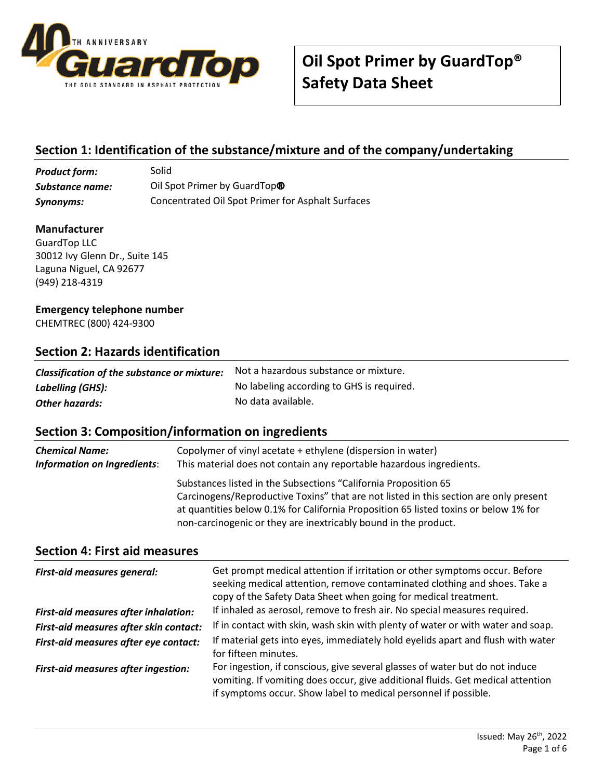

## **Section 1: Identification of the substance/mixture and of the company/undertaking**

| <b>Product form:</b> | Solid                                             |
|----------------------|---------------------------------------------------|
| Substance name:      | Oil Spot Primer by GuardTop <sup>®</sup>          |
| Synonyms:            | Concentrated Oil Spot Primer for Asphalt Surfaces |

#### **Manufacturer**

GuardTop LLC 30012 Ivy Glenn Dr., Suite 145 Laguna Niguel, CA 92677 (949) 218-4319

#### **Emergency telephone number**

CHEMTREC (800) 424-9300

#### **Section 2: Hazards identification**

| Classification of the substance or mixture: | Not a hazardous substance or mixture.     |
|---------------------------------------------|-------------------------------------------|
| Labelling (GHS):                            | No labeling according to GHS is required. |
| <b>Other hazards:</b>                       | No data available.                        |

### **Section 3: Composition/information on ingredients**

| <b>Chemical Name:</b>       | Copolymer of vinyl acetate + ethylene (dispersion in water)                                                                                                                                                                                                                                                         |
|-----------------------------|---------------------------------------------------------------------------------------------------------------------------------------------------------------------------------------------------------------------------------------------------------------------------------------------------------------------|
| Information on Ingredients: | This material does not contain any reportable hazardous ingredients.                                                                                                                                                                                                                                                |
|                             | Substances listed in the Subsections "California Proposition 65<br>Carcinogens/Reproductive Toxins" that are not listed in this section are only present<br>at quantities below 0.1% for California Proposition 65 listed toxins or below 1% for<br>non-carcinogenic or they are inextricably bound in the product. |

#### **Section 4: First aid measures**

| <b>First-aid measures general:</b>     | Get prompt medical attention if irritation or other symptoms occur. Before<br>seeking medical attention, remove contaminated clothing and shoes. Take a<br>copy of the Safety Data Sheet when going for medical treatment.         |
|----------------------------------------|------------------------------------------------------------------------------------------------------------------------------------------------------------------------------------------------------------------------------------|
| First-aid measures after inhalation:   | If inhaled as aerosol, remove to fresh air. No special measures required.                                                                                                                                                          |
| First-aid measures after skin contact: | If in contact with skin, wash skin with plenty of water or with water and soap.                                                                                                                                                    |
| First-aid measures after eye contact:  | If material gets into eyes, immediately hold eyelids apart and flush with water<br>for fifteen minutes.                                                                                                                            |
| First-aid measures after ingestion:    | For ingestion, if conscious, give several glasses of water but do not induce<br>vomiting. If vomiting does occur, give additional fluids. Get medical attention<br>if symptoms occur. Show label to medical personnel if possible. |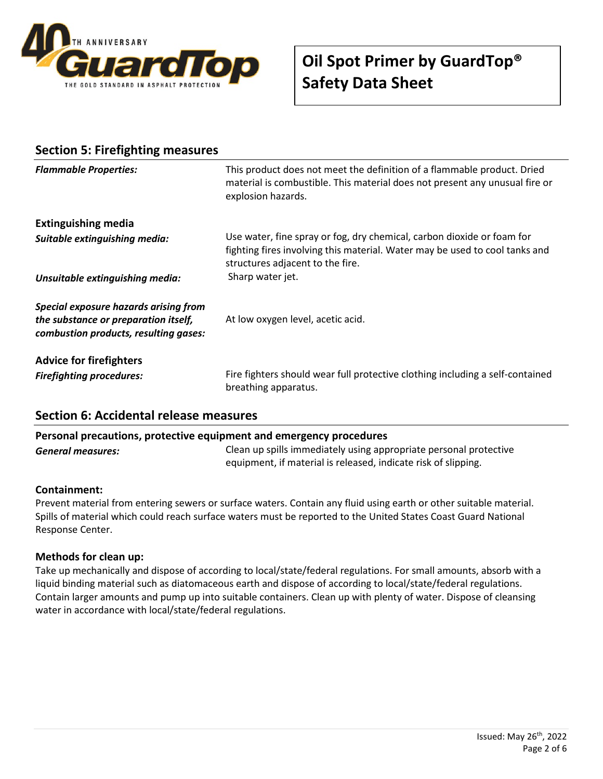

| <b>Section 5: Firefighting measures</b>                                                                                |                                                                                                                                                                                           |  |
|------------------------------------------------------------------------------------------------------------------------|-------------------------------------------------------------------------------------------------------------------------------------------------------------------------------------------|--|
| <b>Flammable Properties:</b>                                                                                           | This product does not meet the definition of a flammable product. Dried<br>material is combustible. This material does not present any unusual fire or<br>explosion hazards.              |  |
| <b>Extinguishing media</b>                                                                                             |                                                                                                                                                                                           |  |
| Suitable extinguishing media:                                                                                          | Use water, fine spray or fog, dry chemical, carbon dioxide or foam for<br>fighting fires involving this material. Water may be used to cool tanks and<br>structures adjacent to the fire. |  |
| Unsuitable extinguishing media:                                                                                        | Sharp water jet.                                                                                                                                                                          |  |
| Special exposure hazards arising from<br>the substance or preparation itself,<br>combustion products, resulting gases: | At low oxygen level, acetic acid.                                                                                                                                                         |  |
| <b>Advice for firefighters</b>                                                                                         |                                                                                                                                                                                           |  |
| <b>Firefighting procedures:</b>                                                                                        | Fire fighters should wear full protective clothing including a self-contained<br>breathing apparatus.                                                                                     |  |

### **Section 6: Accidental release measures**

#### **Personal precautions, protective equipment and emergency procedures**

*General measures:* Clean up spills immediately using appropriate personal protective equipment, if material is released, indicate risk of slipping.

#### **Containment:**

Prevent material from entering sewers or surface waters. Contain any fluid using earth or other suitable material. Spills of material which could reach surface waters must be reported to the United States Coast Guard National Response Center.

#### **Methods for clean up:**

Take up mechanically and dispose of according to local/state/federal regulations. For small amounts, absorb with a liquid binding material such as diatomaceous earth and dispose of according to local/state/federal regulations. Contain larger amounts and pump up into suitable containers. Clean up with plenty of water. Dispose of cleansing water in accordance with local/state/federal regulations.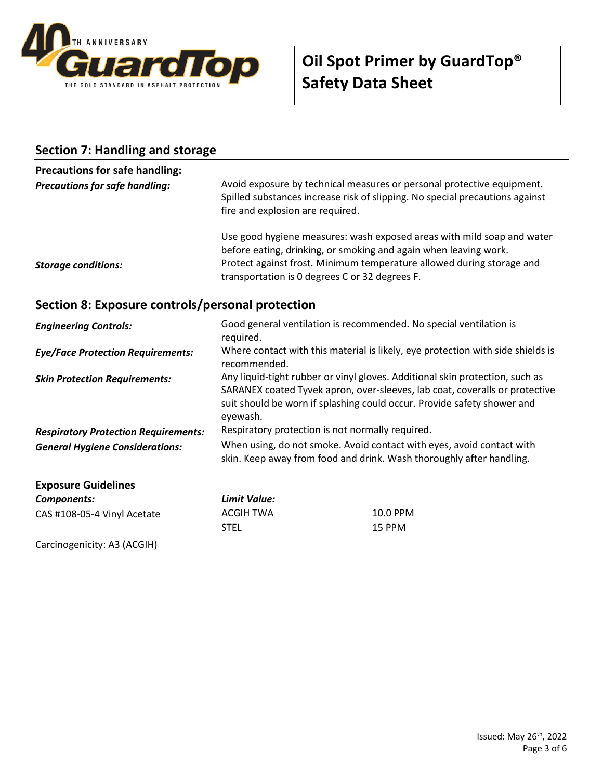

#### **Section 7: Handling and storage**

## **Precautions for safe handling:**

| <b>Precautions for safe handling:</b> | Avoid exposure by technical measures or personal protective equipment.<br>Spilled substances increase risk of slipping. No special precautions against<br>fire and explosion are required.                          |
|---------------------------------------|---------------------------------------------------------------------------------------------------------------------------------------------------------------------------------------------------------------------|
|                                       | Use good hygiene measures: wash exposed areas with mild soap and water<br>before eating, drinking, or smoking and again when leaving work.<br>Protect against frost. Minimum temperature allowed during storage and |
| <b>Storage conditions:</b>            | transportation is 0 degrees C or 32 degrees F.                                                                                                                                                                      |

### **Section 8: Exposure controls/personal protection**

| <b>Engineering Controls:</b>                | Good general ventilation is recommended. No special ventilation is<br>required. |                                                                                                                                                                                                                                        |
|---------------------------------------------|---------------------------------------------------------------------------------|----------------------------------------------------------------------------------------------------------------------------------------------------------------------------------------------------------------------------------------|
| <b>Eye/Face Protection Requirements:</b>    | recommended.                                                                    | Where contact with this material is likely, eye protection with side shields is                                                                                                                                                        |
| <b>Skin Protection Requirements:</b>        | eyewash.                                                                        | Any liquid-tight rubber or vinyl gloves. Additional skin protection, such as<br>SARANEX coated Tyvek apron, over-sleeves, lab coat, coveralls or protective<br>suit should be worn if splashing could occur. Provide safety shower and |
| <b>Respiratory Protection Requirements:</b> | Respiratory protection is not normally required.                                |                                                                                                                                                                                                                                        |
| <b>General Hygiene Considerations:</b>      |                                                                                 | When using, do not smoke. Avoid contact with eyes, avoid contact with<br>skin. Keep away from food and drink. Wash thoroughly after handling.                                                                                          |
| <b>Exposure Guidelines</b>                  |                                                                                 |                                                                                                                                                                                                                                        |
| Components:                                 | Limit Value:                                                                    |                                                                                                                                                                                                                                        |
| CAS #108-05-4 Vinyl Acetate                 | ACGIH TWA                                                                       | 10.0 PPM                                                                                                                                                                                                                               |
|                                             | <b>STEL</b>                                                                     | 15 PPM                                                                                                                                                                                                                                 |

Carcinogenicity: A3 (ACGIH)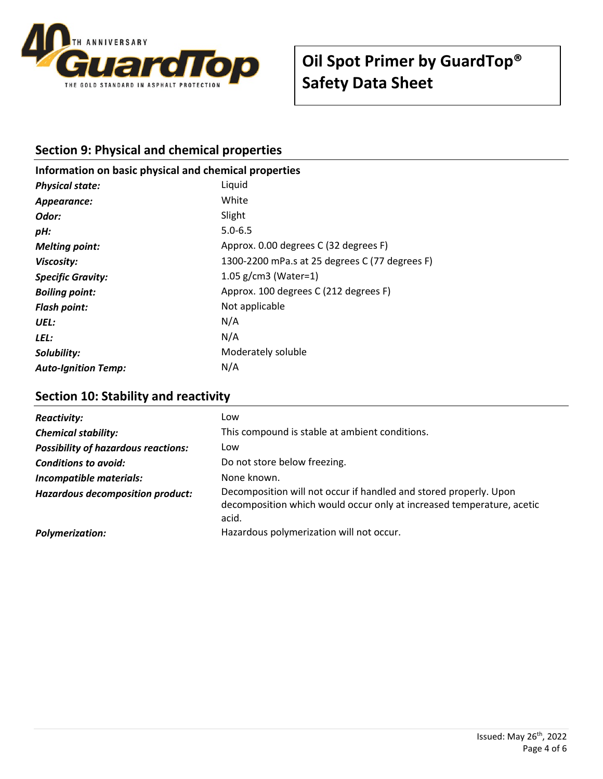

## **Section 9: Physical and chemical properties**

## **Information on basic physical and chemical properties** *Physical state:* Liquid *Appearance:* White **Odor:** Slight *pH:* 5.0-6.5 *Melting point:*  $\blacksquare$  Approx. 0.00 degrees C (32 degrees F) *Viscosity:* 1300-2200 mPa.s at 25 degrees C (77 degrees F) *Specific Gravity:* 1.05 g/cm3 (Water=1)

| <b>Boiling point:</b>      | Approx. 100 degrees C (212 degrees F) |
|----------------------------|---------------------------------------|
| <b>Flash point:</b>        | Not applicable                        |
| UEL:                       | N/A                                   |
| LEL:                       | N/A                                   |
| Solubility:                | Moderately soluble                    |
| <b>Auto-Ignition Temp:</b> | N/A                                   |
|                            |                                       |

### **Section 10: Stability and reactivity**

| <b>Reactivity:</b>                         | Low                                                                                                                                                 |
|--------------------------------------------|-----------------------------------------------------------------------------------------------------------------------------------------------------|
| <b>Chemical stability:</b>                 | This compound is stable at ambient conditions.                                                                                                      |
| <b>Possibility of hazardous reactions:</b> | Low                                                                                                                                                 |
| <b>Conditions to avoid:</b>                | Do not store below freezing.                                                                                                                        |
| <b>Incompatible materials:</b>             | None known.                                                                                                                                         |
| Hazardous decomposition product:           | Decomposition will not occur if handled and stored properly. Upon<br>decomposition which would occur only at increased temperature, acetic<br>acid. |
| <b>Polymerization:</b>                     | Hazardous polymerization will not occur.                                                                                                            |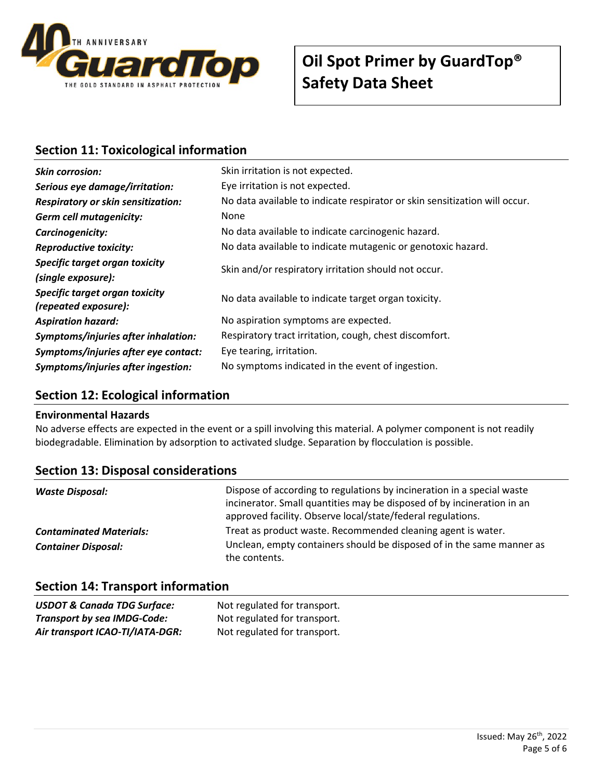

# **Oil Spot Primer by GuardTop® Safety Data Sheet**

## **Section 11: Toxicological information**

| <b>Skin corrosion:</b>                                 | Skin irritation is not expected.                                           |  |
|--------------------------------------------------------|----------------------------------------------------------------------------|--|
| Serious eye damage/irritation:                         | Eye irritation is not expected.                                            |  |
| <b>Respiratory or skin sensitization:</b>              | No data available to indicate respirator or skin sensitization will occur. |  |
| <b>Germ cell mutagenicity:</b>                         | <b>None</b>                                                                |  |
| Carcinogenicity:                                       | No data available to indicate carcinogenic hazard.                         |  |
| <b>Reproductive toxicity:</b>                          | No data available to indicate mutagenic or genotoxic hazard.               |  |
| Specific target organ toxicity                         | Skin and/or respiratory irritation should not occur.                       |  |
| (single exposure):                                     |                                                                            |  |
| Specific target organ toxicity<br>(repeated exposure): | No data available to indicate target organ toxicity.                       |  |
| <b>Aspiration hazard:</b>                              | No aspiration symptoms are expected.                                       |  |
| Symptoms/injuries after inhalation:                    | Respiratory tract irritation, cough, chest discomfort.                     |  |
| Symptoms/injuries after eye contact:                   | Eye tearing, irritation.                                                   |  |
| Symptoms/injuries after ingestion:                     | No symptoms indicated in the event of ingestion.                           |  |

#### **Section 12: Ecological information**

#### **Environmental Hazards**

No adverse effects are expected in the event or a spill involving this material. A polymer component is not readily biodegradable. Elimination by adsorption to activated sludge. Separation by flocculation is possible.

| <b>Section 13: Disposal considerations</b> |  |
|--------------------------------------------|--|
|--------------------------------------------|--|

| Waste Disposal:                | Dispose of according to regulations by incineration in a special waste<br>incinerator. Small quantities may be disposed of by incineration in an<br>approved facility. Observe local/state/federal regulations. |
|--------------------------------|-----------------------------------------------------------------------------------------------------------------------------------------------------------------------------------------------------------------|
| <b>Contaminated Materials:</b> | Treat as product waste. Recommended cleaning agent is water.                                                                                                                                                    |
| <b>Container Disposal:</b>     | Unclean, empty containers should be disposed of in the same manner as<br>the contents.                                                                                                                          |

### **Section 14: Transport information**

| <b>USDOT &amp; Canada TDG Surface:</b> | Not regulated for transport. |
|----------------------------------------|------------------------------|
| <b>Transport by sea IMDG-Code:</b>     | Not regulated for transport. |
| Air transport ICAO-TI/IATA-DGR:        | Not regulated for transport. |